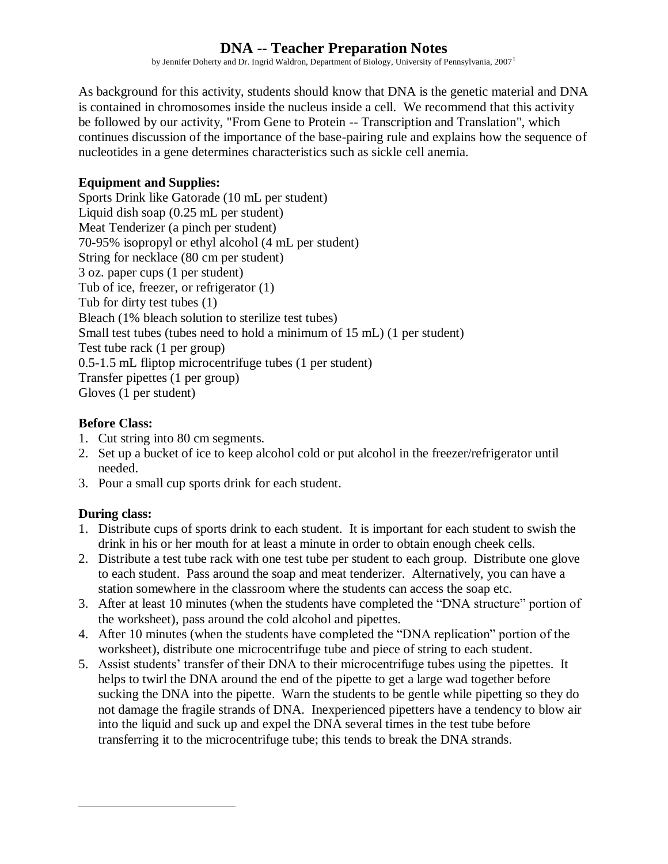# **DNA -- Teacher Preparation Notes**

by Jennifer Doherty and Dr. Ingrid Waldron, Department of Biology, University of Pennsylvania, 2007<sup>1</sup>

As background for this activity, students should know that DNA is the genetic material and DNA is contained in chromosomes inside the nucleus inside a cell. We recommend that this activity be followed by our activity, "From Gene to Protein -- Transcription and Translation", which continues discussion of the importance of the base-pairing rule and explains how the sequence of nucleotides in a gene determines characteristics such as sickle cell anemia.

#### **Equipment and Supplies:**

Sports Drink like Gatorade (10 mL per student) Liquid dish soap (0.25 mL per student) Meat Tenderizer (a pinch per student) 70-95% isopropyl or ethyl alcohol (4 mL per student) String for necklace (80 cm per student) 3 oz. paper cups (1 per student) Tub of ice, freezer, or refrigerator (1) Tub for dirty test tubes (1) Bleach (1% bleach solution to sterilize test tubes) Small test tubes (tubes need to hold a minimum of 15 mL) (1 per student) Test tube rack (1 per group) 0.5-1.5 mL fliptop microcentrifuge tubes (1 per student) Transfer pipettes (1 per group) Gloves (1 per student)

#### **Before Class:**

- 1. Cut string into 80 cm segments.
- 2. Set up a bucket of ice to keep alcohol cold or put alcohol in the freezer/refrigerator until needed.
- 3. Pour a small cup sports drink for each student.

### **During class:**

 $\overline{a}$ 

- 1. Distribute cups of sports drink to each student. It is important for each student to swish the drink in his or her mouth for at least a minute in order to obtain enough cheek cells.
- 2. Distribute a test tube rack with one test tube per student to each group. Distribute one glove to each student. Pass around the soap and meat tenderizer. Alternatively, you can have a station somewhere in the classroom where the students can access the soap etc.
- 3. After at least 10 minutes (when the students have completed the "DNA structure" portion of the worksheet), pass around the cold alcohol and pipettes.
- 4. After 10 minutes (when the students have completed the "DNA replication" portion of the worksheet), distribute one microcentrifuge tube and piece of string to each student.
- 5. Assist students' transfer of their DNA to their microcentrifuge tubes using the pipettes. It helps to twirl the DNA around the end of the pipette to get a large wad together before sucking the DNA into the pipette. Warn the students to be gentle while pipetting so they do not damage the fragile strands of DNA. Inexperienced pipetters have a tendency to blow air into the liquid and suck up and expel the DNA several times in the test tube before transferring it to the microcentrifuge tube; this tends to break the DNA strands.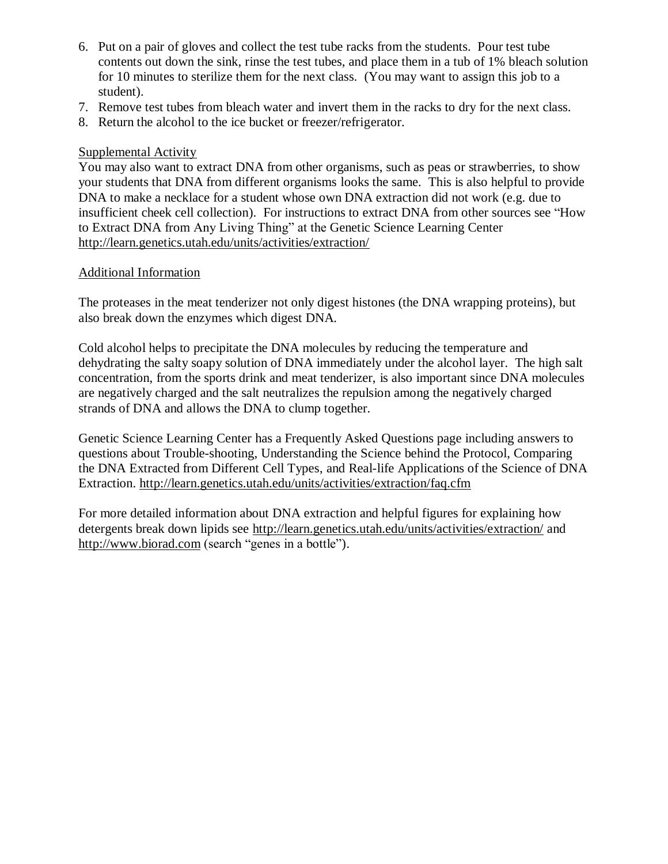- 6. Put on a pair of gloves and collect the test tube racks from the students. Pour test tube contents out down the sink, rinse the test tubes, and place them in a tub of 1% bleach solution for 10 minutes to sterilize them for the next class. (You may want to assign this job to a student).
- 7. Remove test tubes from bleach water and invert them in the racks to dry for the next class.
- 8. Return the alcohol to the ice bucket or freezer/refrigerator.

#### Supplemental Activity

You may also want to extract DNA from other organisms, such as peas or strawberries, to show your students that DNA from different organisms looks the same. This is also helpful to provide DNA to make a necklace for a student whose own DNA extraction did not work (e.g. due to insufficient cheek cell collection). For instructions to extract DNA from other sources see "How to Extract DNA from Any Living Thing" at the [Genetic Science Learning Center](http://gslc.genetics.utah.edu/) <http://learn.genetics.utah.edu/units/activities/extraction/>

#### Additional Information

The proteases in the meat tenderizer not only digest histones (the DNA wrapping proteins), but also break down the enzymes which digest DNA.

Cold alcohol helps to precipitate the DNA molecules by reducing the temperature and dehydrating the salty soapy solution of DNA immediately under the alcohol layer. The high salt concentration, from the sports drink and meat tenderizer, is also important since DNA molecules are negatively charged and the salt neutralizes the repulsion among the negatively charged strands of DNA and allows the DNA to clump together.

[Genetic Science Learning Center](http://gslc.genetics.utah.edu/) has a Frequently Asked Questions page including answers to questions about Trouble-shooting, Understanding the Science behind the Protocol, Comparing the DNA Extracted from Different Cell Types, and Real-life Applications of the Science of DNA Extraction.<http://learn.genetics.utah.edu/units/activities/extraction/faq.cfm>

For more detailed information about DNA extraction and helpful figures for explaining how detergents break down lipids see<http://learn.genetics.utah.edu/units/activities/extraction/> and [http://www.biorad.com](http://www.biorad.com/) (search "genes in a bottle").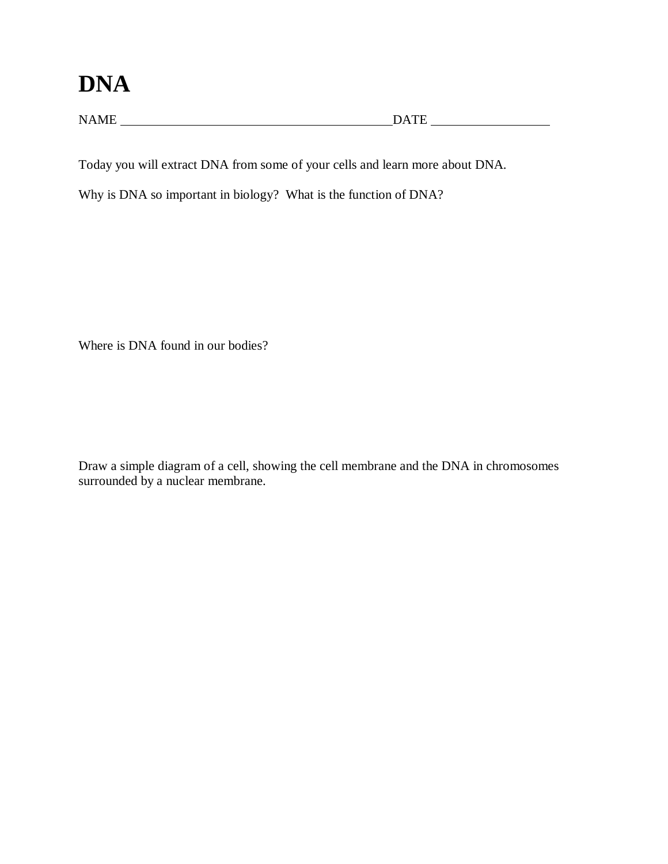# **DNA**

 $\begin{minipage}{.4\linewidth} \textbf{NAME} \end{minipage} \begin{minipage}{.4\linewidth} \textbf{DATE} \end{minipage}$ 

Today you will extract DNA from some of your cells and learn more about DNA.

Why is DNA so important in biology? What is the function of DNA?

Where is DNA found in our bodies?

Draw a simple diagram of a cell, showing the cell membrane and the DNA in chromosomes surrounded by a nuclear membrane.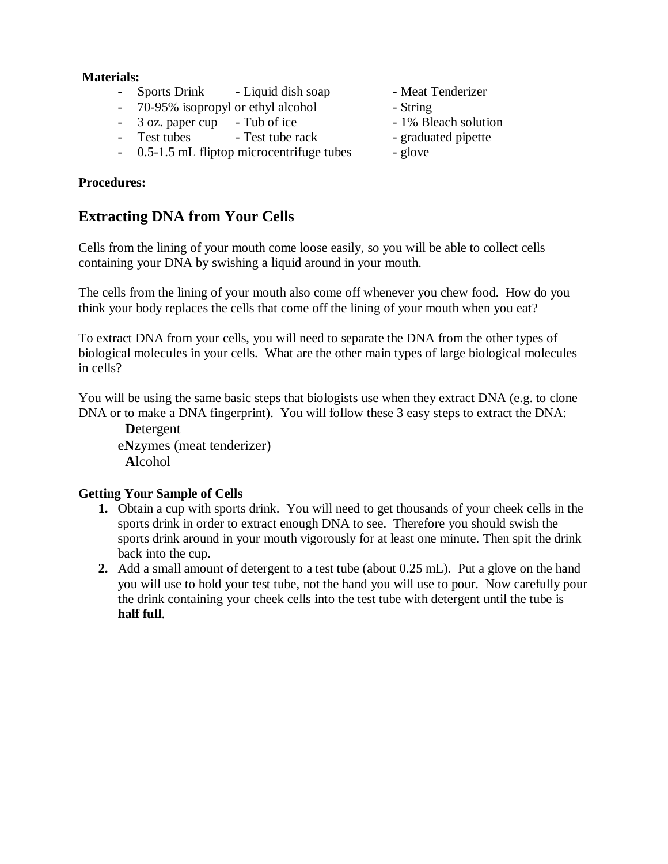#### **Materials:**

- Sports Drink Liquid dish soap Meat Tenderizer
- 70-95% isopropyl or ethyl alcohol String
- 3 oz. paper cup Tub of ice 1% Bleach solution
- Test tubes Test tube rack graduated pipette
- 0.5-1.5 mL fliptop microcentrifuge tubes glove

#### **Procedures:**

## **Extracting DNA from Your Cells**

Cells from the lining of your mouth come loose easily, so you will be able to collect cells containing your DNA by swishing a liquid around in your mouth.

The cells from the lining of your mouth also come off whenever you chew food. How do you think your body replaces the cells that come off the lining of your mouth when you eat?

To extract DNA from your cells, you will need to separate the DNA from the other types of biological molecules in your cells. What are the other main types of large biological molecules in cells?

You will be using the same basic steps that biologists use when they extract DNA (e.g. to clone DNA or to make a DNA fingerprint). You will follow these 3 easy steps to extract the DNA:

 **D**etergent e**N**zymes (meat tenderizer) **A**lcohol

#### **Getting Your Sample of Cells**

- **1.** Obtain a cup with sports drink. You will need to get thousands of your cheek cells in the sports drink in order to extract enough DNA to see. Therefore you should swish the sports drink around in your mouth vigorously for at least one minute. Then spit the drink back into the cup.
- **2.** Add a small amount of detergent to a test tube (about 0.25 mL). Put a glove on the hand you will use to hold your test tube, not the hand you will use to pour. Now carefully pour the drink containing your cheek cells into the test tube with detergent until the tube is **half full**.
- 
- 
- 
- 
-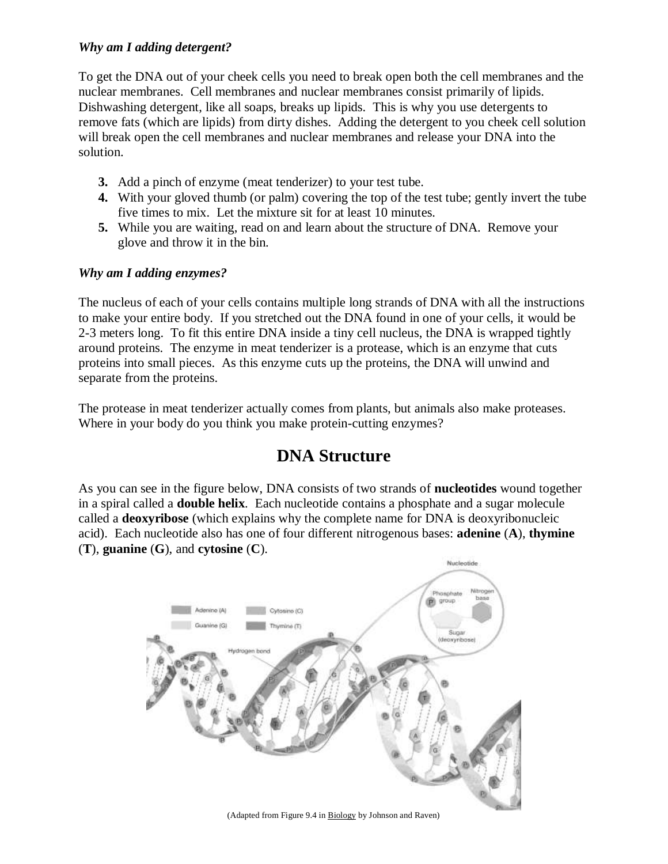#### *Why am I adding detergent?*

To get the DNA out of your cheek cells you need to break open both the cell membranes and the nuclear membranes. Cell membranes and nuclear membranes consist primarily of lipids. Dishwashing detergent, like all soaps, breaks up lipids. This is why you use detergents to remove fats (which are lipids) from dirty dishes. Adding the detergent to you cheek cell solution will break open the cell membranes and nuclear membranes and release your DNA into the solution.

- **3.** Add a pinch of enzyme (meat tenderizer) to your test tube.
- **4.** With your gloved thumb (or palm) covering the top of the test tube; gently invert the tube five times to mix. Let the mixture sit for at least 10 minutes.
- **5.** While you are waiting, read on and learn about the structure of DNA. Remove your glove and throw it in the bin.

#### *Why am I adding enzymes?*

The nucleus of each of your cells contains multiple long strands of DNA with all the instructions to make your entire body. If you stretched out the DNA found in one of your cells, it would be 2-3 meters long. To fit this entire DNA inside a tiny cell nucleus, the DNA is wrapped tightly around proteins. The enzyme in meat tenderizer is a protease, which is an enzyme that cuts proteins into small pieces. As this enzyme cuts up the proteins, the DNA will unwind and separate from the proteins.

The protease in meat tenderizer actually comes from plants, but animals also make proteases. Where in your body do you think you make protein-cutting enzymes?

# **DNA Structure**

As you can see in the figure below, DNA consists of two strands of **nucleotides** wound together in a spiral called a **double helix**. Each nucleotide contains a phosphate and a sugar molecule called a **deoxyribose** (which explains why the complete name for DNA is deoxyribonucleic acid). Each nucleotide also has one of four different nitrogenous bases: **adenine** (**A**), **thymine**  (**T**), **guanine** (**G**), and **cytosine** (**C**).



(Adapted from Figure 9.4 in Biology by Johnson and Raven)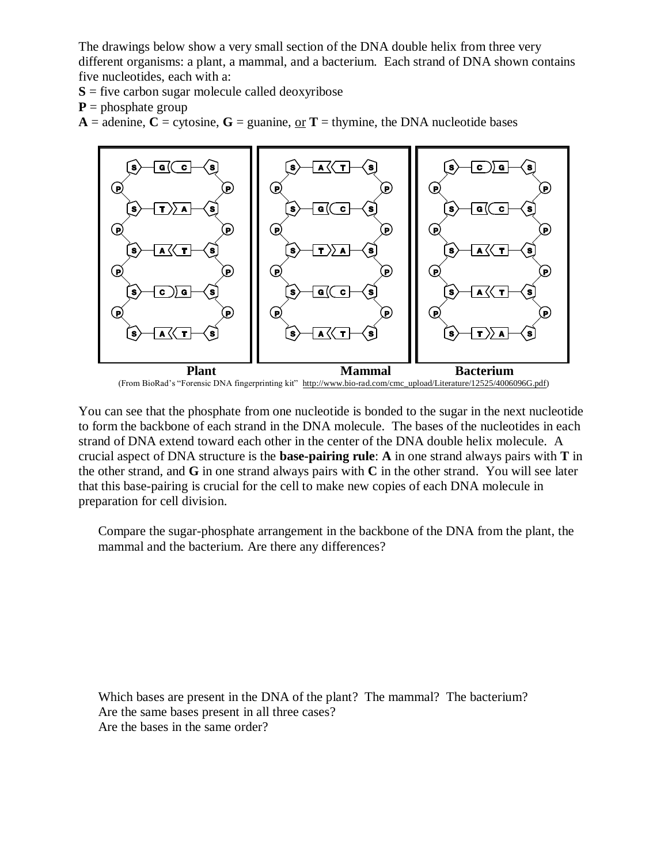The drawings below show a very small section of the DNA double helix from three very different organisms: a plant, a mammal, and a bacterium. Each strand of DNA shown contains five nucleotides, each with a:

 $S =$  five carbon sugar molecule called deoxyribose

 $P =$  phosphate group

 $A =$  adenine,  $C =$  cytosine,  $G =$  guanine, or  $T =$  thymine, the DNA nucleotide bases



You can see that the phosphate from one nucleotide is bonded to the sugar in the next nucleotide to form the backbone of each strand in the DNA molecule. The bases of the nucleotides in each strand of DNA extend toward each other in the center of the DNA double helix molecule. A crucial aspect of DNA structure is the **base-pairing rule**: **A** in one strand always pairs with **T** in the other strand, and **G** in one strand always pairs with **C** in the other strand. You will see later that this base-pairing is crucial for the cell to make new copies of each DNA molecule in preparation for cell division.

Compare the sugar-phosphate arrangement in the backbone of the DNA from the plant, the mammal and the bacterium. Are there any differences?

Which bases are present in the DNA of the plant? The mammal? The bacterium? Are the same bases present in all three cases? Are the bases in the same order?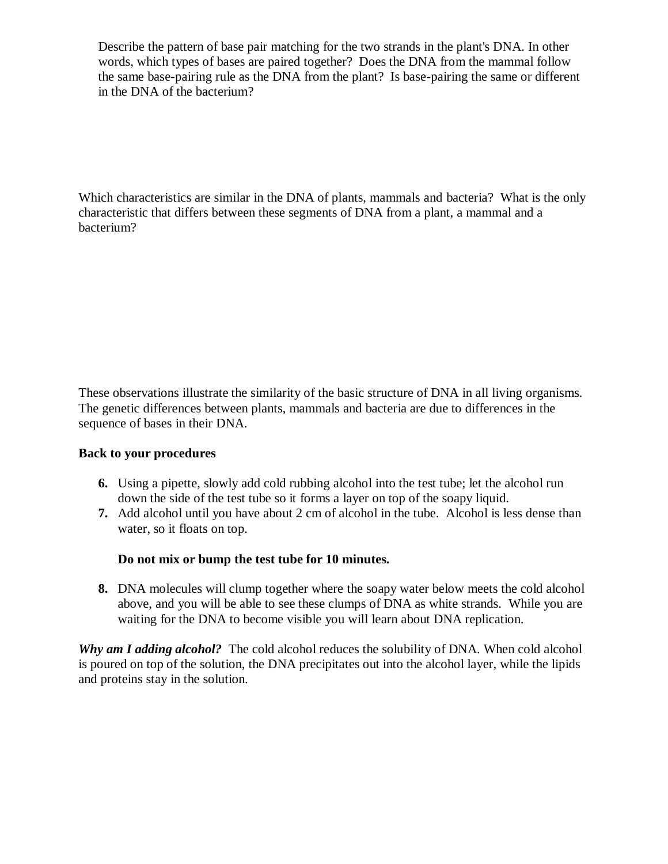Describe the pattern of base pair matching for the two strands in the plant's DNA. In other words, which types of bases are paired together? Does the DNA from the mammal follow the same base-pairing rule as the DNA from the plant? Is base-pairing the same or different in the DNA of the bacterium?

Which characteristics are similar in the DNA of plants, mammals and bacteria? What is the only characteristic that differs between these segments of DNA from a plant, a mammal and a bacterium?

These observations illustrate the similarity of the basic structure of DNA in all living organisms. The genetic differences between plants, mammals and bacteria are due to differences in the sequence of bases in their DNA.

#### **Back to your procedures**

- **6.** Using a pipette, slowly add cold rubbing alcohol into the test tube; let the alcohol run down the side of the test tube so it forms a layer on top of the soapy liquid.
- **7.** Add alcohol until you have about 2 cm of alcohol in the tube. Alcohol is less dense than water, so it floats on top.

#### **Do not mix or bump the test tube for 10 minutes.**

**8.** DNA molecules will clump together where the soapy water below meets the cold alcohol above, and you will be able to see these clumps of DNA as white strands. While you are waiting for the DNA to become visible you will learn about DNA replication.

**Why am I adding alcohol?** The cold alcohol reduces the solubility of DNA. When cold alcohol is poured on top of the solution, the DNA precipitates out into the alcohol layer, while the lipids and proteins stay in the solution.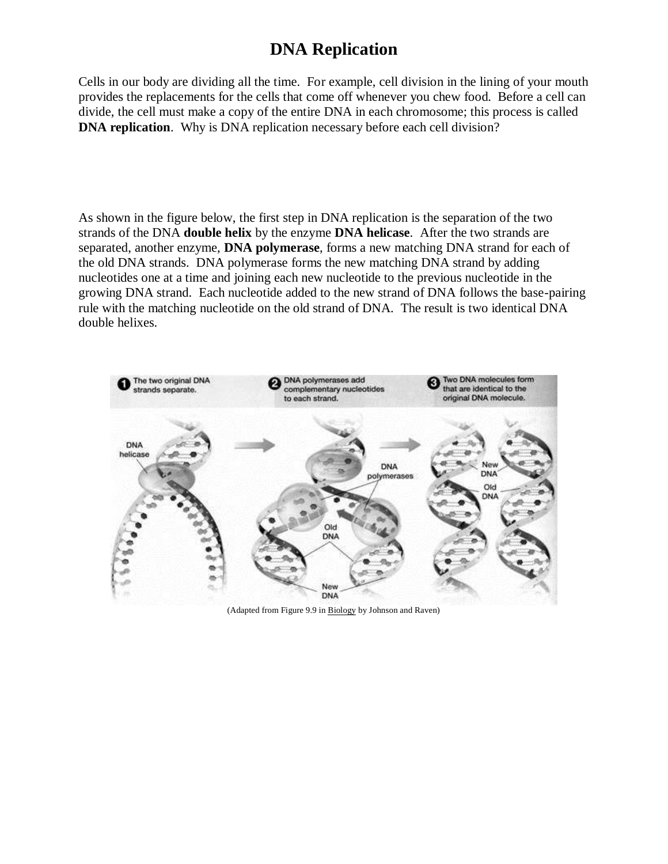# **DNA Replication**

Cells in our body are dividing all the time. For example, cell division in the lining of your mouth provides the replacements for the cells that come off whenever you chew food. Before a cell can divide, the cell must make a copy of the entire DNA in each chromosome; this process is called **DNA replication.** Why is DNA replication necessary before each cell division?

As shown in the figure below, the first step in DNA replication is the separation of the two strands of the DNA **double helix** by the enzyme **DNA helicase**. After the two strands are separated, another enzyme, **DNA polymerase**, forms a new matching DNA strand for each of the old DNA strands. DNA polymerase forms the new matching DNA strand by adding nucleotides one at a time and joining each new nucleotide to the previous nucleotide in the growing DNA strand. Each nucleotide added to the new strand of DNA follows the base-pairing rule with the matching nucleotide on the old strand of DNA. The result is two identical DNA double helixes.



(Adapted from Figure 9.9 in Biology by Johnson and Raven)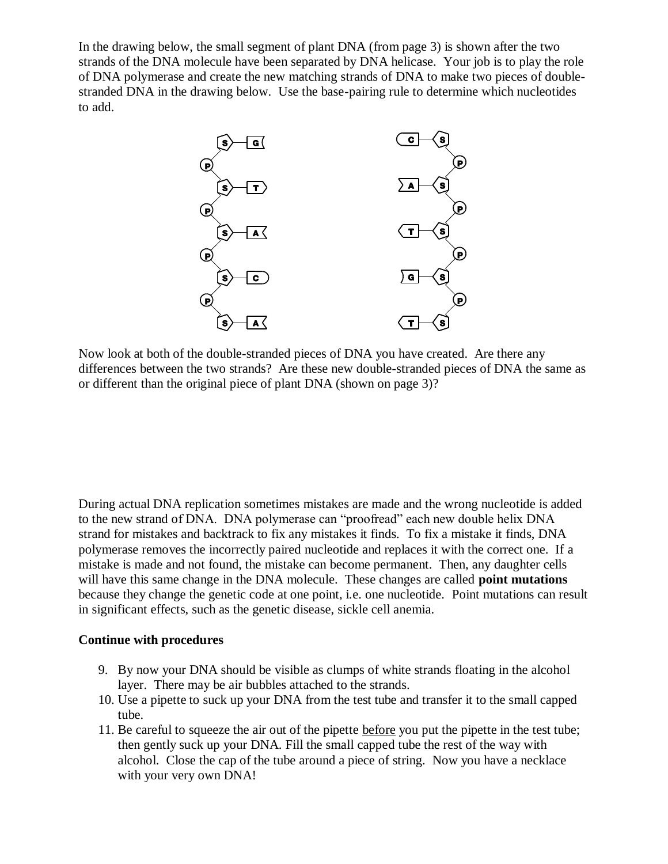In the drawing below, the small segment of plant DNA (from page 3) is shown after the two strands of the DNA molecule have been separated by DNA helicase. Your job is to play the role of DNA polymerase and create the new matching strands of DNA to make two pieces of doublestranded DNA in the drawing below. Use the base-pairing rule to determine which nucleotides to add.



Now look at both of the double-stranded pieces of DNA you have created. Are there any differences between the two strands? Are these new double-stranded pieces of DNA the same as or different than the original piece of plant DNA (shown on page 3)?

During actual DNA replication sometimes mistakes are made and the wrong nucleotide is added to the new strand of DNA. DNA polymerase can "proofread" each new double helix DNA strand for mistakes and backtrack to fix any mistakes it finds. To fix a mistake it finds, DNA polymerase removes the incorrectly paired nucleotide and replaces it with the correct one. If a mistake is made and not found, the mistake can become permanent. Then, any daughter cells will have this same change in the DNA molecule. These changes are called **point mutations**  because they change the genetic code at one point, i.e. one nucleotide. Point mutations can result in significant effects, such as the genetic disease, sickle cell anemia.

#### **Continue with procedures**

- 9. By now your DNA should be visible as clumps of white strands floating in the alcohol layer. There may be air bubbles attached to the strands.
- 10. Use a pipette to suck up your DNA from the test tube and transfer it to the small capped tube.
- 11. Be careful to squeeze the air out of the pipette before you put the pipette in the test tube; then gently suck up your DNA. Fill the small capped tube the rest of the way with alcohol. Close the cap of the tube around a piece of string. Now you have a necklace with your very own DNA!